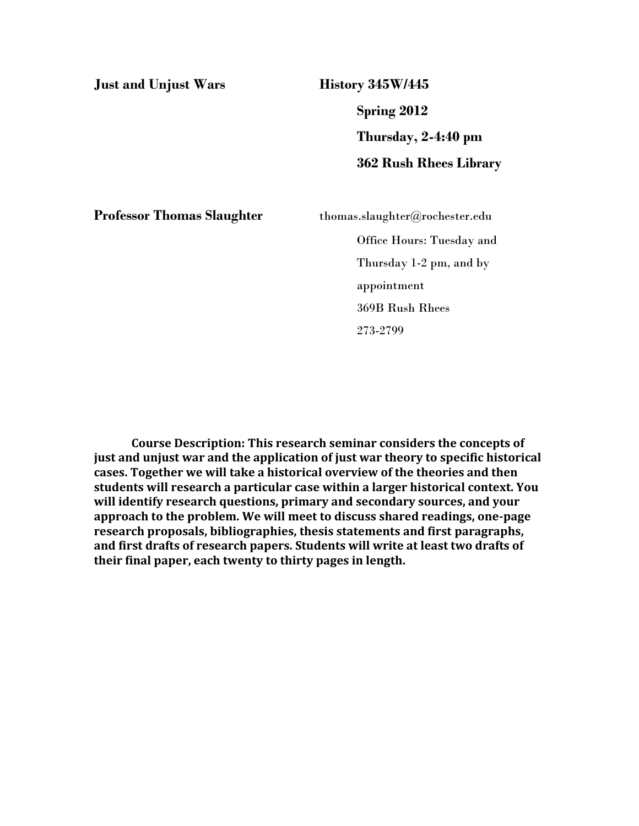**Just and Unjust Wars History 345W/445**

**Spring 2012 Thursday, 2-4:40 pm 362 Rush Rhees Library**

**Professor Thomas Slaughter** thomas.slaughter@rochester.edu

Office Hours: Tuesday and Thursday 1-2 pm, and by appointment 369B Rush Rhees 273-2799

**Course Description: This research seminar considers the concepts of just and unjust war and the application of just war theory to specific historical cases. Together we will take a historical overview of the theories and then students will research a particular case within a larger historical context. You will identify research questions, primary and secondary sources, and your approach to the problem. We will meet to discuss shared readings, one-page research proposals, bibliographies, thesis statements and first paragraphs, and first drafts of research papers. Students will write at least two drafts of their final paper, each twenty to thirty pages in length.**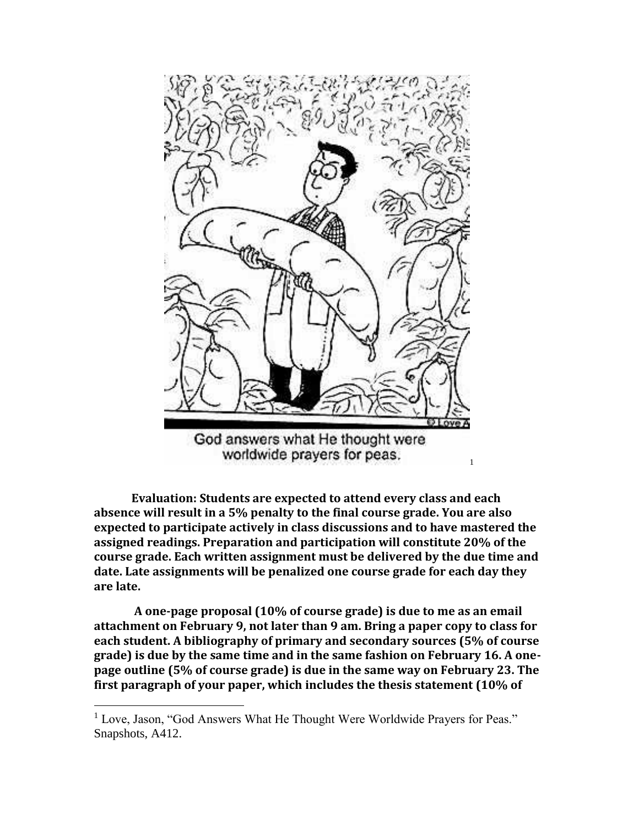

worldwide prayers for peas.

1

**Evaluation: Students are expected to attend every class and each absence will result in a 5% penalty to the final course grade. You are also expected to participate actively in class discussions and to have mastered the assigned readings. Preparation and participation will constitute 20% of the course grade. Each written assignment must be delivered by the due time and date. Late assignments will be penalized one course grade for each day they are late.**

**A one-page proposal (10% of course grade) is due to me as an email attachment on February 9, not later than 9 am. Bring a paper copy to class for each student. A bibliography of primary and secondary sources (5% of course grade) is due by the same time and in the same fashion on February 16. A onepage outline (5% of course grade) is due in the same way on February 23. The first paragraph of your paper, which includes the thesis statement (10% of** 

 $\overline{a}$ 

<sup>&</sup>lt;sup>1</sup> Love, Jason, "God Answers What He Thought Were Worldwide Prayers for Peas." Snapshots, A412.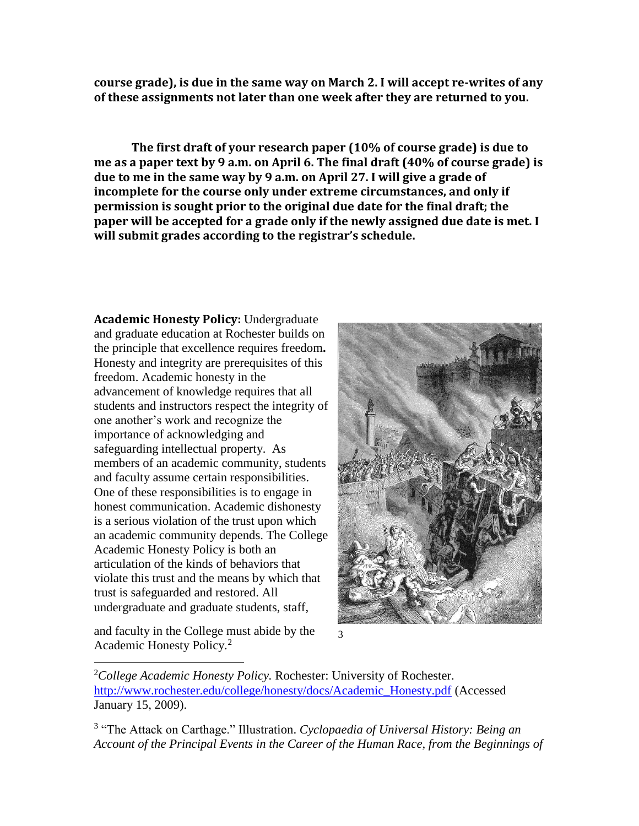**course grade), is due in the same way on March 2. I will accept re-writes of any of these assignments not later than one week after they are returned to you.**

**The first draft of your research paper (10% of course grade) is due to me as a paper text by 9 a.m. on April 6. The final draft (40% of course grade) is due to me in the same way by 9 a.m. on April 27. I will give a grade of incomplete for the course only under extreme circumstances, and only if permission is sought prior to the original due date for the final draft; the paper will be accepted for a grade only if the newly assigned due date is met. I will submit grades according to the registrar's schedule.**

**Academic Honesty Policy:** Undergraduate and graduate education at Rochester builds on the principle that excellence requires freedom**.**  Honesty and integrity are prerequisites of this freedom. Academic honesty in the advancement of knowledge requires that all students and instructors respect the integrity of one another's work and recognize the importance of acknowledging and safeguarding intellectual property. As members of an academic community, students and faculty assume certain responsibilities. One of these responsibilities is to engage in honest communication. Academic dishonesty is a serious violation of the trust upon which an academic community depends. The College Academic Honesty Policy is both an articulation of the kinds of behaviors that violate this trust and the means by which that trust is safeguarded and restored. All undergraduate and graduate students, staff,

and faculty in the College must abide by the Academic Honesty Policy.<sup>2</sup>

 $\overline{a}$ 





<sup>2</sup>*College Academic Honesty Policy.* Rochester: University of Rochester. [http://www.rochester.edu/college/honesty/docs/Academic\\_Honesty.pdf](http://www.rochester.edu/college/honesty/docs/Academic_Honesty.pdf) (Accessed January 15, 2009).

3 "The Attack on Carthage." Illustration. *Cyclopaedia of Universal History: Being an Account of the Principal Events in the Career of the Human Race, from the Beginnings of*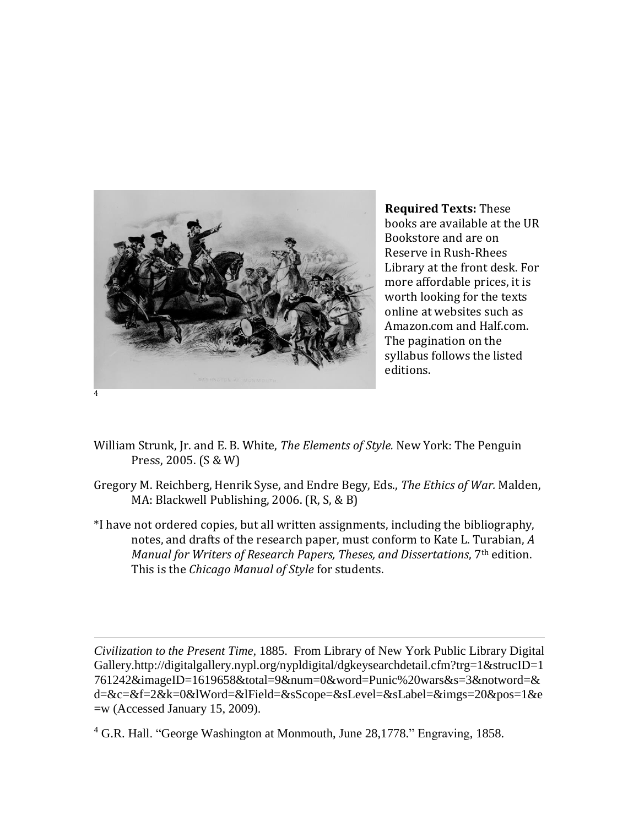

 $\overline{a}$ 

**Required Texts:** These books are available at the UR Bookstore and are on Reserve in Rush-Rhees Library at the front desk. For more affordable prices, it is worth looking for the texts online at websites such as Amazon.com and Half.com. The pagination on the syllabus follows the listed editions.

- William Strunk, Jr. and E. B. White, *The Elements of Style.* New York: The Penguin Press, 2005. (S & W)
- Gregory M. Reichberg, Henrik Syse, and Endre Begy, Eds., *The Ethics of War.* Malden, MA: Blackwell Publishing, 2006. (R, S, & B)
- \*I have not ordered copies, but all written assignments, including the bibliography, notes, and drafts of the research paper, must conform to Kate L. Turabian, *A Manual for Writers of Research Papers, Theses, and Dissertations*, 7th edition. This is the *Chicago Manual of Style* for students.

*Civilization to the Present Time,* 1885. From Library of New York Public Library Digital Gallery.http://digitalgallery.nypl.org/nypldigital/dgkeysearchdetail.cfm?trg=1&strucID=1 761242&imageID=1619658&total=9&num=0&word=Punic%20wars&s=3&notword=& d=&c=&f=2&k=0&lWord=&lField=&sScope=&sLevel=&sLabel=&imgs=20&pos=1&e =w (Accessed January 15, 2009).

<sup>4</sup> G.R. Hall. "George Washington at Monmouth, June 28,1778." Engraving, 1858.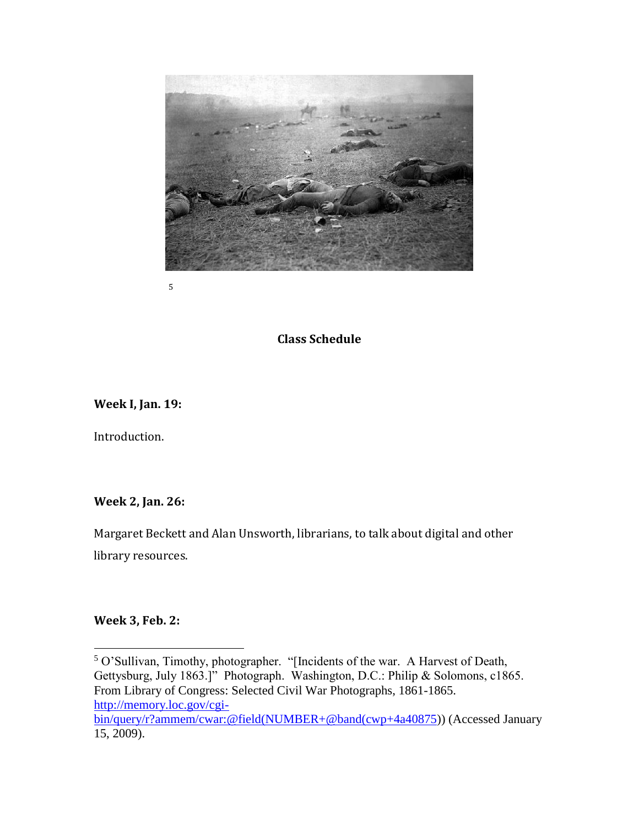

5

## **Class Schedule**

**Week I, Jan. 19:** 

Introduction.

**Week 2, Jan. 26:** 

Margaret Beckett and Alan Unsworth, librarians, to talk about digital and other library resources.

**Week 3, Feb. 2:**

 $\overline{a}$ 

<sup>5</sup> O'Sullivan, Timothy, photographer. "[Incidents of the war. A Harvest of Death, Gettysburg, July 1863.]" Photograph. Washington, D.C.: Philip & Solomons, c1865. From Library of Congress: Selected Civil War Photographs, 1861-1865. [http://memory.loc.gov/cgi](http://memory.loc.gov/cgi-bin/query/r?ammem/cwar:@field(NUMBER+@band(cwp+4a40875)[bin/query/r?ammem/cwar:@field\(NUMBER+@band\(cwp+4a40875\)](http://memory.loc.gov/cgi-bin/query/r?ammem/cwar:@field(NUMBER+@band(cwp+4a40875)) (Accessed January 15, 2009).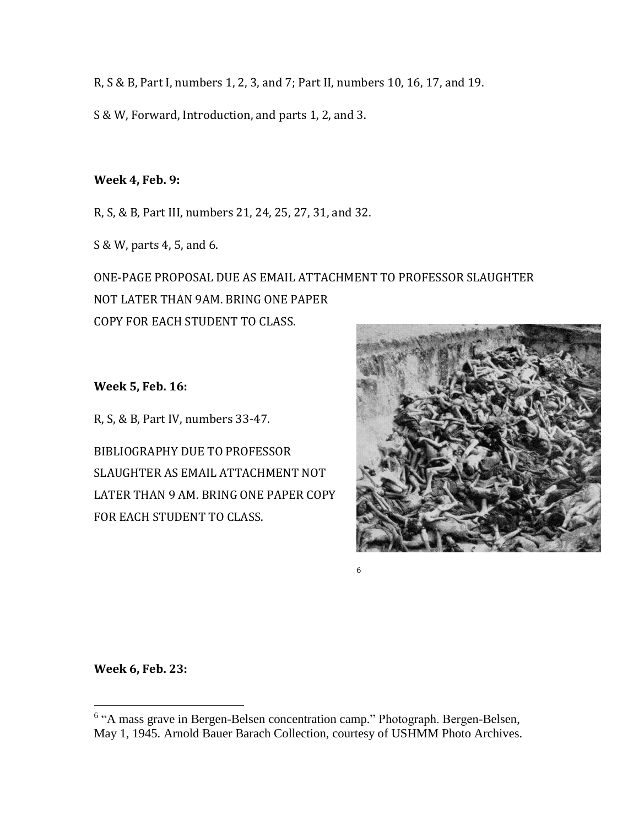R, S & B, Part I, numbers 1, 2, 3, and 7; Part II, numbers 10, 16, 17, and 19.

S & W, Forward, Introduction, and parts 1, 2, and 3.

## **Week 4, Feb. 9:**

R, S, & B, Part III, numbers 21, 24, 25, 27, 31, and 32.

S & W, parts 4, 5, and 6.

ONE-PAGE PROPOSAL DUE AS EMAIL ATTACHMENT TO PROFESSOR SLAUGHTER NOT LATER THAN 9AM. BRING ONE PAPER COPY FOR EACH STUDENT TO CLASS.

**Week 5, Feb. 16:**

R, S, & B, Part IV, numbers 33-47.

BIBLIOGRAPHY DUE TO PROFESSOR SLAUGHTER AS EMAIL ATTACHMENT NOT LATER THAN 9 AM. BRING ONE PAPER COPY FOR EACH STUDENT TO CLASS.



**Week 6, Feb. 23:**

 $\overline{a}$ 

6

<sup>&</sup>lt;sup>6</sup> "A mass grave in Bergen-Belsen concentration camp." Photograph. Bergen-Belsen, May 1, 1945. Arnold Bauer Barach Collection, courtesy of USHMM Photo Archives.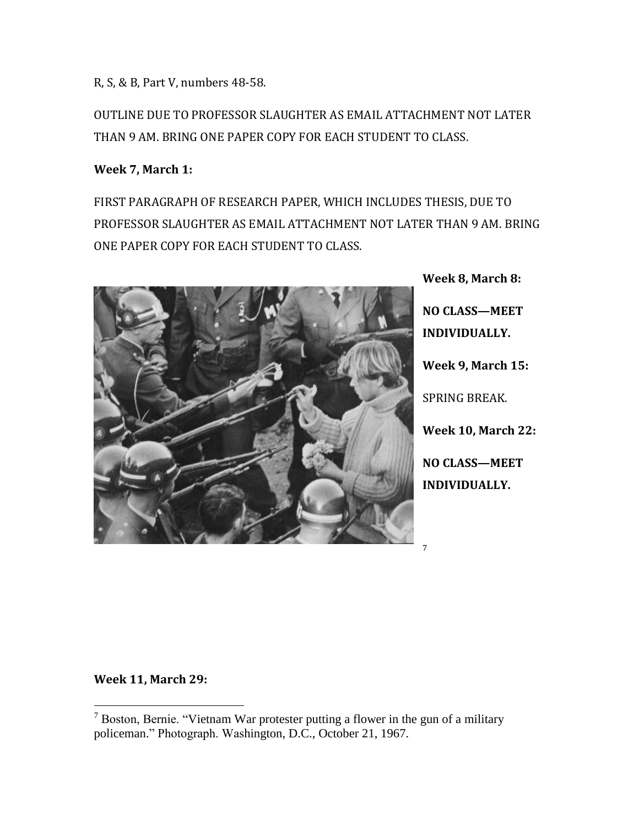R, S, & B, Part V, numbers 48-58.

OUTLINE DUE TO PROFESSOR SLAUGHTER AS EMAIL ATTACHMENT NOT LATER THAN 9 AM. BRING ONE PAPER COPY FOR EACH STUDENT TO CLASS.

## **Week 7, March 1:**

FIRST PARAGRAPH OF RESEARCH PAPER, WHICH INCLUDES THESIS, DUE TO PROFESSOR SLAUGHTER AS EMAIL ATTACHMENT NOT LATER THAN 9 AM. BRING ONE PAPER COPY FOR EACH STUDENT TO CLASS.



**Week 8, March 8: NO CLASS—MEET INDIVIDUALLY. Week 9, March 15:** SPRING BREAK. **Week 10, March 22: NO CLASS—MEET INDIVIDUALLY.**

7

## **Week 11, March 29:**

 $\overline{a}$ 

 $7$  Boston, Bernie. "Vietnam War protester putting a flower in the gun of a military policeman." Photograph. Washington, D.C., October 21, 1967.